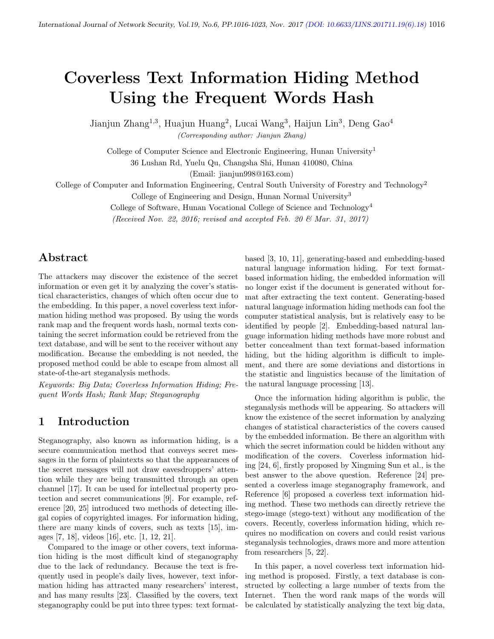# Coverless Text Information Hiding Method Using the Frequent Words Hash

Jianjun Zhang<sup>1,3</sup>, Huajun Huang<sup>2</sup>, Lucai Wang<sup>3</sup>, Haijun Lin<sup>3</sup>, Deng Gao<sup>4</sup> (Corresponding author: Jianjun Zhang)

College of Computer Science and Electronic Engineering, Hunan University<sup>1</sup>

36 Lushan Rd, Yuelu Qu, Changsha Shi, Hunan 410080, China

(Email: jianjun998@163.com)

College of Computer and Information Engineering, Central South University of Forestry and Technology<sup>2</sup>

College of Engineering and Design, Hunan Normal University<sup>3</sup>

College of Software, Hunan Vocational College of Science and Technology<sup>4</sup>

(Received Nov. 22, 2016; revised and accepted Feb. 20  $\mathcal{B}$  Mar. 31, 2017)

# Abstract

The attackers may discover the existence of the secret information or even get it by analyzing the cover's statistical characteristics, changes of which often occur due to the embedding. In this paper, a novel coverless text information hiding method was proposed. By using the words rank map and the frequent words hash, normal texts containing the secret information could be retrieved from the text database, and will be sent to the receiver without any modification. Because the embedding is not needed, the proposed method could be able to escape from almost all state-of-the-art steganalysis methods.

Keywords: Big Data; Coverless Information Hiding; Frequent Words Hash; Rank Map; Steganography

### 1 Introduction

Steganography, also known as information hiding, is a secure communication method that conveys secret messages in the form of plaintexts so that the appearances of the secret messages will not draw eavesdroppers' attention while they are being transmitted through an open channel [17]. It can be used for intellectual property protection and secret communications [9]. For example, reference [20, 25] introduced two methods of detecting illegal copies of copyrighted images. For information hiding, there are many kinds of covers, such as texts [15], images [7, 18], videos [16], etc. [1, 12, 21].

Compared to the image or other covers, text information hiding is the most difficult kind of steganography due to the lack of redundancy. Because the text is frequently used in people's daily lives, however, text information hiding has attracted many researchers' interest, and has many results [23]. Classified by the covers, text steganography could be put into three types: text format-

based [3, 10, 11], generating-based and embedding-based natural language information hiding. For text formatbased information hiding, the embedded information will no longer exist if the document is generated without format after extracting the text content. Generating-based natural language information hiding methods can fool the computer statistical analysis, but is relatively easy to be identified by people [2]. Embedding-based natural language information hiding methods have more robust and better concealment than text format-based information hiding, but the hiding algorithm is difficult to implement, and there are some deviations and distortions in the statistic and linguistics because of the limitation of the natural language processing [13].

Once the information hiding algorithm is public, the steganalysis methods will be appearing. So attackers will know the existence of the secret information by analyzing changes of statistical characteristics of the covers caused by the embedded information. Be there an algorithm with which the secret information could be hidden without any modification of the covers. Coverless information hiding [24, 6], firstly proposed by Xingming Sun et al., is the best answer to the above question. Reference [24] presented a coverless image steganography framework, and Reference [6] proposed a coverless text information hiding method. These two methods can directly retrieve the stego-image (stego-text) without any modification of the covers. Recently, coverless information hiding, which requires no modification on covers and could resist various steganalysis technologies, draws more and more attention from researchers [5, 22].

In this paper, a novel coverless text information hiding method is proposed. Firstly, a text database is constructed by collecting a large number of texts from the Internet. Then the word rank maps of the words will be calculated by statistically analyzing the text big data,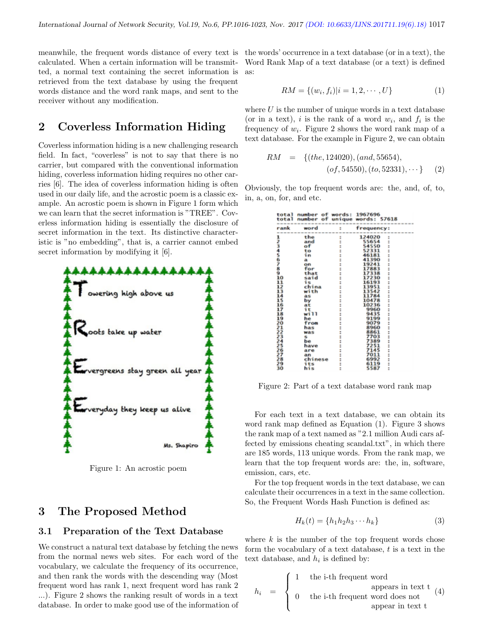meanwhile, the frequent words distance of every text is the words' occurrence in a text database (or in a text), the calculated. When a certain information will be transmitted, a normal text containing the secret information is retrieved from the text database by using the frequent words distance and the word rank maps, and sent to the receiver without any modification.

# 2 Coverless Information Hiding

Coverless information hiding is a new challenging research field. In fact, "coverless" is not to say that there is no carrier, but compared with the conventional information hiding, coverless information hiding requires no other carries [6]. The idea of coverless information hiding is often used in our daily life, and the acrostic poem is a classic example. An acrostic poem is shown in Figure 1 form which we can learn that the secret information is "TREE". Coverless information hiding is essentially the disclosure of secret information in the text. Its distinctive characteristic is "no embedding", that is, a carrier cannot embed secret information by modifying it [6].



Figure 1: An acrostic poem

# 3 The Proposed Method

### 3.1 Preparation of the Text Database

We construct a natural text database by fetching the news from the normal news web sites. For each word of the vocabulary, we calculate the frequency of its occurrence, and then rank the words with the descending way (Most frequent word has rank 1, next frequent word has rank 2 ...). Figure 2 shows the ranking result of words in a text database. In order to make good use of the information of

Word Rank Map of a text database (or a text) is defined as:

$$
RM = \{(w_i, f_i)|i = 1, 2, \cdots, U\}
$$
 (1)

where  $U$  is the number of unique words in a text database (or in a text), i is the rank of a word  $w_i$ , and  $f_i$  is the frequency of  $w_i$ . Figure 2 shows the word rank map of a text database. For the example in Figure 2, we can obtain

$$
RM = \{(the, 124020), (and, 55654), (of, 54550), (to, 52331), \cdots\}
$$
 (2)

Obviously, the top frequent words are: the, and, of, to, in, a, on, for, and etc.

| total           | number of words: 1967696 |               |                     |                 |
|-----------------|--------------------------|---------------|---------------------|-----------------|
| total           | number of                |               | unique words: 57618 |                 |
|                 | -----------------------  |               |                     | --------------- |
| rank            | word                     | E.            | frequency:          |                 |
|                 |                          |               |                     |                 |
|                 | the                      | $\frac{1}{2}$ | 124020              | $\ddot{ }$      |
|                 | and<br>of                |               | 55654               |                 |
| 123456789.0     |                          |               | 54550               |                 |
|                 | to                       |               | 52331               |                 |
|                 | in                       |               | 46181               |                 |
|                 | a                        |               | 41390               |                 |
|                 | on                       |               | 19241               |                 |
|                 | for                      |               | 17883<br>17338      |                 |
|                 | that                     |               |                     |                 |
|                 | said                     |               | 17230               |                 |
| īi              | is                       |               | 16193               |                 |
| 12              | china                    |               | 13951               |                 |
| ī3              | with                     |               | 13542               |                 |
| $\frac{14}{15}$ | аs                       |               | 11784               |                 |
|                 | bv                       |               | 10478               |                 |
| 16              | at                       |               | 10236               |                 |
| ī7              | it                       |               | 9960                |                 |
| 18              | will                     |               | 9435                |                 |
|                 | he                       |               | 9199                |                 |
| 19<br>20        | from                     |               | 9079                |                 |
| 21              | has                      |               | 8960                | ---------       |
| 22              | was                      |               | 8861                |                 |
| 23<br>24        | s                        |               | 7703                |                 |
|                 | be                       |               | 7389                |                 |
| 25              | have                     |               | 7251                |                 |
|                 | are                      |               | 7145                |                 |
| 22289           | an                       |               | 7011                |                 |
|                 | chinese                  |               | 6992                |                 |
|                 | its                      |               | 6119                | $\ddot{}}$      |
| 3ŏ              | his                      |               | 5587                |                 |

Figure 2: Part of a text database word rank map

For each text in a text database, we can obtain its word rank map defined as Equation (1). Figure 3 shows the rank map of a text named as "2.1 million Audi cars affected by emissions cheating scandal.txt", in which there are 185 words, 113 unique words. From the rank map, we learn that the top frequent words are: the, in, software, emission, cars, etc.

For the top frequent words in the text database, we can calculate their occurrences in a text in the same collection. So, the Frequent Words Hash Function is defined as:

$$
H_k(t) = \{h_1 h_2 h_3 \cdots h_k\}
$$
\n<sup>(3)</sup>

where  $k$  is the number of the top frequent words chose form the vocabulary of a text database,  $t$  is a text in the text database, and  $h_i$  is defined by:

$$
h_i = \begin{cases} 1 & \text{the i-th frequent word} \\ 0 & \text{the i-th frequent word does not} \\ 0 & \text{the i-th frequent word does not} \end{cases}
$$
 (4)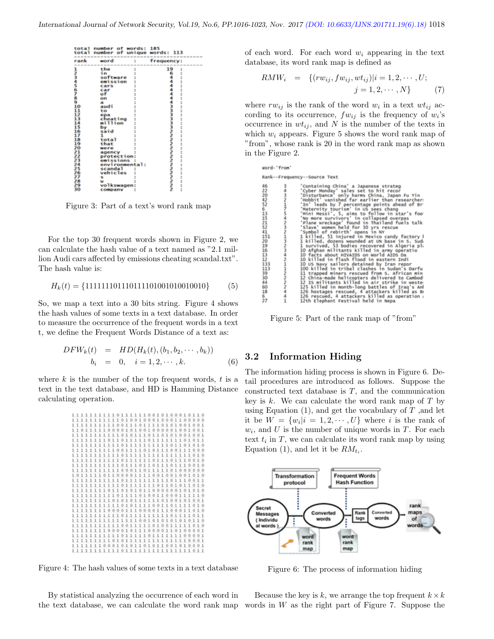| total<br>total<br>------------     | number of words:<br>number of | 185<br>unique words: 113     |   |
|------------------------------------|-------------------------------|------------------------------|---|
| rank                               | word                          | requency:<br>-----------     |   |
|                                    | the                           | 19                           | t |
|                                    | śm                            |                              |   |
|                                    | software                      |                              |   |
| 123456789                          | emission                      |                              |   |
|                                    | cars                          |                              |   |
|                                    | car                           |                              |   |
|                                    | ٥f                            |                              |   |
|                                    | on                            |                              |   |
|                                    | $\blacksquare$                |                              |   |
| 10                                 | audi                          |                              |   |
| 11                                 | to                            |                              |   |
| 12                                 | epa                           |                              |   |
|                                    | cheating                      |                              |   |
|                                    | million                       | ÷                            |   |
| 15                                 | by                            |                              |   |
| 16                                 | said                          |                              |   |
|                                    |                               |                              |   |
| 18                                 | total                         |                              |   |
| 19                                 | that                          |                              |   |
| 20                                 | were                          |                              |   |
| $\frac{21}{22}$<br>$\frac{23}{23}$ | agency                        |                              |   |
|                                    | protection:                   |                              |   |
|                                    | emissions                     |                              |   |
|                                    | environmental:                |                              |   |
| žš                                 | scandal                       |                              |   |
| 26                                 | vehicles                      |                              |   |
|                                    | s                             | ちゅうきゅうしょうろうろうきょうこうこうこうこうこうこう |   |
| 28                                 | $\mathbf{u}$                  |                              |   |
| 29<br>10                           | volkswagen:                   |                              |   |
|                                    | COMMODADOR                    |                              |   |

Figure 3: Part of a text's word rank map

For the top 30 frequent words shown in Figure 2, we can calculate the hash value of a text named as "2.1 million Audi cars affected by emissions cheating scandal.txt". The hash value is:

$$
H_k(t) = \{111111101110111101001010010010\} \tag{5}
$$

So, we map a text into a 30 bits string. Figure 4 shows the hash values of some texts in a text database. In order to measure the occurrence of the frequent words in a text t, we define the Frequent Words Distance of a text as:

$$
DFW_k(t) = HD(H_k(t), (b_1, b_2, \cdots, b_k))
$$
  

$$
b_i = 0, \quad i = 1, 2, \cdots, k.
$$
 (6)

where  $k$  is the number of the top frequent words,  $t$  is a text in the text database, and HD is Hamming Distance calculating operation.

|                                  |  | 1110111111001010001011 |  |
|----------------------------------|--|------------------------|--|
| 11111111110100100010001100000    |  |                        |  |
| 11111111100111011110101001001    |  |                        |  |
| 10111110000101001000001001001    |  |                        |  |
| 111111111110101110110101001001   |  |                        |  |
| 1111111101101111101111111101011  |  |                        |  |
| 111111111110111111111110110101   |  |                        |  |
| 111111111100111101011100111000   |  |                        |  |
| 1111111111101111111111111111010  |  |                        |  |
| 111111111110111111011101110010   |  |                        |  |
| 1111111111101110111011110010     |  |                        |  |
| 1111111111100011011111101000000  |  |                        |  |
| 101111101100001111001001001010   |  |                        |  |
| 111111111110111111111111110011   |  |                        |  |
| 111111111110111111101101011010   |  |                        |  |
| 11111111011010111000000101010    |  |                        |  |
| 111111111101111010011000111110   |  |                        |  |
| 111111111010101111110100101001   |  |                        |  |
| 111111111110101111001101111010   |  |                        |  |
| 111111110000111000011100011010   |  |                        |  |
| 111111111110111111111111111011   |  |                        |  |
| 111111111111111001010101010110   |  |                        |  |
| 111111111110011111010011111010   |  |                        |  |
| 111111110000101110000110100001   |  |                        |  |
| 111111111110111110111111100001   |  |                        |  |
| 1111111110101111111111111110001  |  |                        |  |
| 111111100010101101011001010001   |  |                        |  |
| 11111111111011111111111111111011 |  |                        |  |
|                                  |  |                        |  |

Figure 4: The hash values of some texts in a text database

By statistical analyzing the occurrence of each word in the text database, we can calculate the word rank map words in W as the right part of Figure 7. Suppose the

of each word. For each word  $w_i$  appearing in the text database, its word rank map is defined as

$$
RMW_i = \{(rw_{ij}, fw_{ij}, wt_{ij}) | i = 1, 2, \cdots, U; j = 1, 2, \cdots, N\}
$$
 (7)

where  $rw_{ij}$  is the rank of the word  $w_i$  in a text  $wt_{ij}$  according to its occurrence,  $fw_{ij}$  is the frequency of  $w_i$ 's occurrence in  $wt_{ij}$ , and N is the number of the texts in which  $w_i$  appears. Figure 5 shows the word rank map of "from", whose rank is 20 in the word rank map as shown in the Figure 2.

| word-'from'                                                                                                           |                                |                                                                                                                                                                                                                                                                                                                                                                                                                                                                                                                                                                                                                                                                                                                                                                                                                                                                                                                                                                                                |  |  |
|-----------------------------------------------------------------------------------------------------------------------|--------------------------------|------------------------------------------------------------------------------------------------------------------------------------------------------------------------------------------------------------------------------------------------------------------------------------------------------------------------------------------------------------------------------------------------------------------------------------------------------------------------------------------------------------------------------------------------------------------------------------------------------------------------------------------------------------------------------------------------------------------------------------------------------------------------------------------------------------------------------------------------------------------------------------------------------------------------------------------------------------------------------------------------|--|--|
|                                                                                                                       |                                | Rank--Frequency--Source Text                                                                                                                                                                                                                                                                                                                                                                                                                                                                                                                                                                                                                                                                                                                                                                                                                                                                                                                                                                   |  |  |
| 46<br>22<br>20<br>42<br>52<br>6 13<br>115<br>211<br>41<br>151<br>20<br>19<br>16<br>13<br>12<br>133<br>113<br>39<br>30 | きんりんしん エンタラミン うまつき てきかん きょうきょう | 'Containing China' a Japanese strateg<br>'Cyber Monday' sales set to hit recor<br>'Disturbance' only harms China, Japan Fu Yin<br>'Hobbit' vanished far earlier than researcher:<br>'In' leads by 7 percentage points ahead of Br<br>'Maternity tourism' in US sees chang<br>'Mini Messi', 5, aims to follow in star's foo<br>'No more survivors' in collapsed overpas<br>'Plane wreckage' found in Thailand fuels talk<br>'Slave' women held for 30 yrs rescue<br>'Symbol of rebirth' opens in NY<br>1 killed, 51 injured in Mexico candy factory I<br>1 killed, dozens wounded at UN base in S. Sud.<br>1 survived, 53 bodies recovered in Algeria pl.<br>10 Afghan militants killed in army operatio<br>10 facts about HIVAIDS on World AIDS Da<br>10 killed in flash flood in eastern Indi<br>10 US Navy sailors detained by Iran repor<br>100 killed in tribal clashes in Sudan's Darfu<br>11 trapped miners rescued from S. African min<br>12 China-made helicopters delivered to Cambod |  |  |
| 44                                                                                                                    |                                | 12 IS militants killed in air strike in weste                                                                                                                                                                                                                                                                                                                                                                                                                                                                                                                                                                                                                                                                                                                                                                                                                                                                                                                                                  |  |  |
| 60                                                                                                                    |                                | 125 killed in month-long battles of Iraq's Ank                                                                                                                                                                                                                                                                                                                                                                                                                                                                                                                                                                                                                                                                                                                                                                                                                                                                                                                                                 |  |  |
| 18                                                                                                                    |                                | 126 hostages rescued, 4 attackers killed as Br                                                                                                                                                                                                                                                                                                                                                                                                                                                                                                                                                                                                                                                                                                                                                                                                                                                                                                                                                 |  |  |
| 6<br>5.95                                                                                                             |                                | 126 rescued, 4 attackers killed as operation ;<br>their flocksom forestion) bold in Home                                                                                                                                                                                                                                                                                                                                                                                                                                                                                                                                                                                                                                                                                                                                                                                                                                                                                                       |  |  |
|                                                                                                                       |                                |                                                                                                                                                                                                                                                                                                                                                                                                                                                                                                                                                                                                                                                                                                                                                                                                                                                                                                                                                                                                |  |  |

Figure 5: Part of the rank map of "from"

### 3.2 Information Hiding

The information hiding process is shown in Figure 6. Detail procedures are introduced as follows. Suppose the constructed text database is  $T$ , and the communication key is  $k$ . We can calculate the word rank map of  $T$  by using Equation  $(1)$ , and get the vocabulary of T, and let it be  $W = \{w_i | i = 1, 2, \dots, U\}$  where i is the rank of  $w_i$ , and U is the number of unique words in T. For each text  $t_i$  in  $T$ , we can calculate its word rank map by using Equation (1), and let it be  $RM_{t_i}$ .



Figure 6: The process of information hiding

Because the key is k, we arrange the top frequent  $k \times k$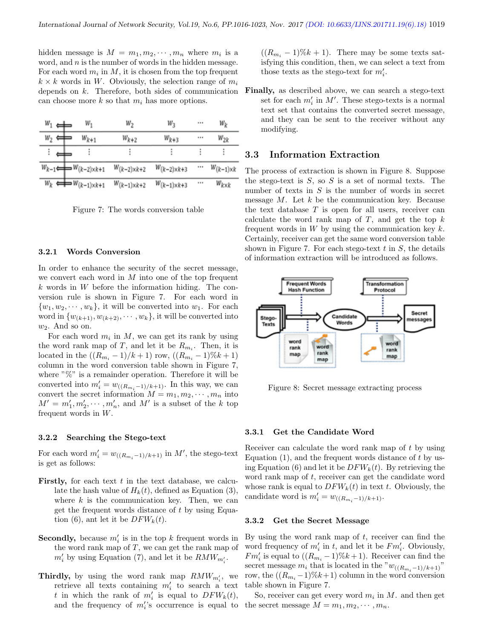hidden message is  $M = m_1, m_2, \cdots, m_n$  where  $m_i$  is a word, and  $n$  is the number of words in the hidden message. For each word  $m_i$  in  $M$ , it is chosen from the top frequent  $k \times k$  words in W. Obviously, the selection range of  $m_i$ depends on k. Therefore, both sides of communication can choose more  $k$  so that  $m_i$  has more options.

| $W_1$          | $W_1$                                     | w <sub>2</sub>        | $W_3$                 |          | w <sub>k</sub>      |
|----------------|-------------------------------------------|-----------------------|-----------------------|----------|---------------------|
| W <sub>2</sub> | $W_{k+1}$                                 | $W_{k+2}$             | $W_{k+3}$             | $\cdots$ | $w_{2k}$            |
|                |                                           |                       | î                     |          |                     |
|                | $W_{k-1} \leftarrow W_{(k-2) \times k+1}$ | $W_{(k-2)\times k+2}$ | $W_{(k-2)\times k+3}$ | $\cdots$ | $W_{(k-1)\times k}$ |
|                | $W_k \leftrightarrow W_{(k-1)\times k+1}$ | $W_{(k-1)\times k+2}$ | $W_{(k-1)\times k+3}$ |          | $W_{k\times k}$     |

Figure 7: The words conversion table

#### 3.2.1 Words Conversion

In order to enhance the security of the secret message, we convert each word in  $M$  into one of the top frequent  $k$  words in  $W$  before the information hiding. The conversion rule is shown in Figure 7. For each word in  $\{w_1, w_2, \dots, w_k\}$ , it will be converted into  $w_1$ . For each word in  $\{w_{(k+1)}, w_{(k+2)}, \cdots, w_k\}$ , it will be converted into  $w_2$ . And so on.

For each word  $m_i$  in M, we can get its rank by using the word rank map of T, and let it be  $R_{m_i}$ . Then, it is located in the  $((R_{m_i}-1)/k+1)$  row,  $((R_{m_i}-1)\%k+1)$ column in the word conversion table shown in Figure 7, where  $\sqrt[n]{\theta}$  is a remainder operation. Therefore it will be converted into  $m'_i = w_{((R_{m_i}-1)/k+1)}$ . In this way, we can convert the secret information  $M = m_1, m_2, \cdots, m_n$  into  $M' = m'_1, m'_2, \cdots, m'_n$ , and M' is a subset of the k top frequent words in W.

#### 3.2.2 Searching the Stego-text

For each word  $m'_i = w_{((R_{m_i}-1)/k+1)}$  in  $M'$ , the stego-text is get as follows:

- Firstly, for each text  $t$  in the text database, we calculate the hash value of  $H_k(t)$ , defined as Equation (3), where  $k$  is the communication key. Then, we can get the frequent words distance of  $t$  by using Equation (6), ant let it be  $DFW_k(t)$ .
- **Secondly,** because  $m_i$  is in the top k frequent words in the word rank map of  $T$ , we can get the rank map of  $m'_i$  by using Equation (7), and let it be  $\mathit{RMW}_{m'_i}$ .
- **Thirdly,** by using the word rank map  $RMW_{m'_i}$ , we retrieve all texts containing  $m'_i$  to search a text t in which the rank of  $m'_i$  is equal to  $DFW_k(t)$ , and the frequency of  $m_i$ 's occurrence is equal to the secret message  $M = m_1, m_2, \cdots, m_n$ .

 $((R_{m<sub>i</sub>}-1)\%k+1)$ . There may be some texts satisfying this condition, then, we can select a text from those texts as the stego-text for  $m'_i$ .

Finally, as described above, we can search a stego-text set for each  $m'_i$  in M'. These stego-texts is a normal text set that contains the converted secret message, and they can be sent to the receiver without any modifying.

### 3.3 Information Extraction

The process of extraction is shown in Figure 8. Suppose the stego-text is  $S$ , so  $S$  is a set of normal texts. The number of texts in  $S$  is the number of words in secret message  $M$ . Let  $k$  be the communication key. Because the text database  $T$  is open for all users, receiver can calculate the word rank map of  $T$ , and get the top  $k$ frequent words in  $W$  by using the communication key  $k$ . Certainly, receiver can get the same word conversion table shown in Figure 7. For each stego-text  $t$  in  $S$ , the details of information extraction will be introduced as follows.



Figure 8: Secret message extracting process

#### 3.3.1 Get the Candidate Word

Receiver can calculate the word rank map of t by using Equation  $(1)$ , and the frequent words distance of t by using Equation (6) and let it be  $DFW_k(t)$ . By retrieving the word rank map of t, receiver can get the candidate word whose rank is equal to  $DFW_k(t)$  in text t. Obviously, the candidate word is  $m'_i = w_{((R_{m_i}-1)/k+1)}$ .

#### 3.3.2 Get the Secret Message

By using the word rank map of  $t$ , receiver can find the word frequency of  $m'_i$  in t, and let it be  $Fm'_i$ . Obviously,  $Fm'_{i}$  is equal to  $((R_{m_{i}}-1)\%k+1)$ . Receiver can find the secret message  $m_i$  that is located in the " $w_{((R_{m_i}-1)/k+1)}$ " row, the  $((R_{m_i}-1)\%k+1)$  column in the word conversion table shown in Figure 7.

So, receiver can get every word  $m_i$  in M. and then get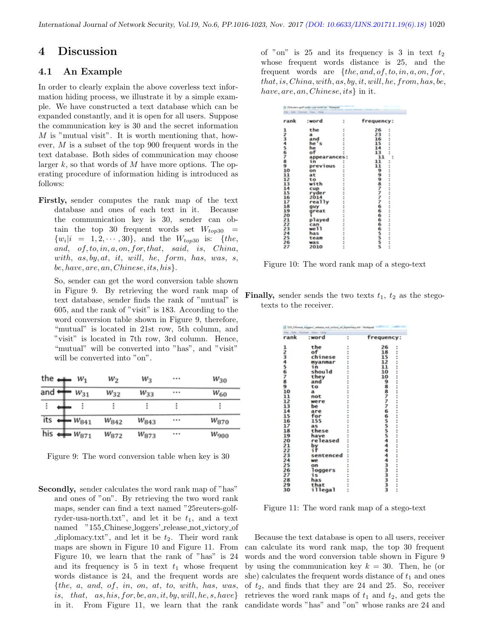### 4 Discussion

### 4.1 An Example

In order to clearly explain the above coverless text information hiding process, we illustrate it by a simple example. We have constructed a text database which can be expanded constantly, and it is open for all users. Suppose the communication key is 30 and the secret information M is "mutual visit". It is worth mentioning that, however, M is a subset of the top 900 frequent words in the text database. Both sides of communication may choose larger  $k$ , so that words of  $M$  have more options. The operating procedure of information hiding is introduced as follows:

Firstly, sender computes the rank map of the text database and ones of each text in it. Because the communication key is 30, sender can obtain the top 30 frequent words set  $W_{top30}$  =  $\{w_i|i = 1, 2, \cdots, 30\}$ , and the  $W_{top30}$  is:  $\{the,$ and, of, to, in, a, on, for, that, said, is, China, with,  $as, by, at, it, will, he, form, has, was, s,$ be, have, are, an, Chinese, its, his}.

So, sender can get the word conversion table shown in Figure 9. By retrieving the word rank map of text database, sender finds the rank of "mutual" is 605, and the rank of "visit" is 183. According to the word conversion table shown in Figure 9, therefore, "mutual" is located in 21st row, 5th column, and "visit" is located in 7th row, 3rd column. Hence, "mutual" will be converted into "has", and "visit" will be converted into "on".

| the $\leftarrow$ | $W_1$                      | w <sub>2</sub> | W3        | <br>$w_{30}$  |
|------------------|----------------------------|----------------|-----------|---------------|
| and ‹            | $W_{31}$                   | $W_{32}$       | $W_{33}$  | <br>$W_{60}$  |
| ፧                | ።                          |                |           | Ξ             |
| its              | $W_{841}$                  | $w_{842}$      | $W_{843}$ | <br>$W_{870}$ |
|                  | his $\leftarrow$ $w_{871}$ | $W_{872}$      | $W_{873}$ | <br>$W_{900}$ |

Figure 9: The word conversion table when key is 30

Secondly, sender calculates the word rank map of "has" and ones of "on". By retrieving the two word rank maps, sender can find a text named "25reuters-golfryder-usa-north.txt", and let it be  $t_1$ , and a text named "155\_Chinese\_loggers'\_release\_not\_victory\_of diplomacy.txt", and let it be  $t_2$ . Their word rank maps are shown in Figure 10 and Figure 11. From Figure 10, we learn that the rank of "has" is 24 and its frequency is 5 in text  $t_1$  whose frequent words distance is 24, and the frequent words are  ${the, a, and, of, in, on, at, to, with, has, was,}$ is, that, as, his, for, be, an, it, by, will, he, s, have in it. From Figure 11, we learn that the rank of "on" is 25 and its frequency is 3 in text  $t_2$ whose frequent words distance is 25, and the frequent words are  ${the, and, of, to, in, a, on, for,}$ that, is, China, with, as, by, it, will, he, from, has, be, have, are, an, Chinese, its \ in it.

| 20mohercrash ruder use north lot - Notepad<br>File Edit Format View Hills |                  |                   |  |  |
|---------------------------------------------------------------------------|------------------|-------------------|--|--|
| rank                                                                      | :word<br>t       | frequency:        |  |  |
| 12345678910                                                               | the<br>٠         | 26<br>٠           |  |  |
|                                                                           | a                | i<br>23           |  |  |
|                                                                           | and<br>÷         | 16                |  |  |
|                                                                           | he "             | <br>۱S            |  |  |
|                                                                           | he               | 14                |  |  |
|                                                                           | of               | 13<br>٠           |  |  |
|                                                                           | appearances:     | 11<br>÷           |  |  |
|                                                                           | ín               | 11                |  |  |
|                                                                           | previous         | ٠<br>11<br>I      |  |  |
|                                                                           | on               |                   |  |  |
| 11                                                                        | ü<br>ı<br>аt     |                   |  |  |
| 12                                                                        | ÷<br>to          |                   |  |  |
| 13                                                                        | with             |                   |  |  |
| 14                                                                        | cup              |                   |  |  |
| īś                                                                        | ï<br>×<br>ryder  |                   |  |  |
| 16                                                                        | ٠<br>2014        |                   |  |  |
| 17                                                                        | really           |                   |  |  |
| 18                                                                        | ٠<br>u.          |                   |  |  |
| 19                                                                        | guy<br>÷<br>٠    |                   |  |  |
|                                                                           | great<br>٠       |                   |  |  |
| 20                                                                        |                  |                   |  |  |
| 21                                                                        | played<br>ü<br>× |                   |  |  |
| 22                                                                        | can<br>÷         |                   |  |  |
| 23                                                                        | we 11            | 9998アアアア666665555 |  |  |
| 24                                                                        | has              |                   |  |  |
| 25                                                                        | t<br>team        |                   |  |  |
| 26                                                                        | ×<br>was<br>٠    |                   |  |  |
| 27                                                                        | 2010<br>٠<br>÷   |                   |  |  |
|                                                                           |                  |                   |  |  |

Figure 10: The word rank map of a stego-text

**Finally,** sender sends the two texts  $t_1$ ,  $t_2$  as the stegotexts to the receiver.

|                 | 115 Chinese higgers' release not victory of diplomacy lot - Notepad |        |                                       |
|-----------------|---------------------------------------------------------------------|--------|---------------------------------------|
|                 | Format<br>3 Auto<br>View -                                          |        |                                       |
| rank            | :word                                                               | ı      | frequency:                            |
|                 | the                                                                 | ٠      | 26<br>÷                               |
|                 | of                                                                  | I      | Ì<br>18                               |
|                 | chinese                                                             |        | īš<br>ž                               |
|                 | myanmar                                                             |        | 12<br>÷                               |
|                 | i'n                                                                 |        | 11<br>B<br>ī                          |
|                 | should                                                              |        | 10<br>ē                               |
|                 | they                                                                | I      | 10<br>I                               |
|                 | and                                                                 |        |                                       |
| ユスミチラモア89       | to                                                                  |        | $\ddot{\phantom{a}}$                  |
| 10              | a                                                                   | I      |                                       |
| 11              | not                                                                 |        |                                       |
| 12              | were                                                                |        |                                       |
| 13              | be                                                                  |        |                                       |
| 14              | are                                                                 |        |                                       |
| 15              | for                                                                 |        |                                       |
| 16              | 155                                                                 |        |                                       |
| 17              | as                                                                  |        | ::::                                  |
| 18              | these                                                               |        |                                       |
| 19              | have                                                                |        |                                       |
| 20              | released                                                            |        | $\ddot{ }$                            |
| 21              | by                                                                  |        | t                                     |
| 22              |                                                                     |        |                                       |
| 23              | sentenced                                                           |        | $\ddot{\phantom{a}}$<br>ü             |
| 24              | we                                                                  |        |                                       |
| $\frac{25}{26}$ | on                                                                  |        | $\ddot{ }$                            |
|                 | loggers                                                             |        | s<br>ü                                |
|                 | is                                                                  |        |                                       |
| 28              | has                                                                 |        | $\ddot{\phantom{a}}$                  |
| 29              | that                                                                |        |                                       |
| 30              | illegal                                                             | ٠<br>٠ | 9887776655554444433333<br>ï<br>٠<br>٠ |

Figure 11: The word rank map of a stego-text

Because the text database is open to all users, receiver can calculate its word rank map, the top 30 frequent words and the word conversion table shown in Figure 9 by using the communication key  $k = 30$ . Then, he (or she) calculates the frequent words distance of  $t_1$  and ones of  $t_2$ , and finds that they are 24 and 25. So, receiver retrieves the word rank maps of  $t_1$  and  $t_2$ , and gets the candidate words "has" and "on" whose ranks are 24 and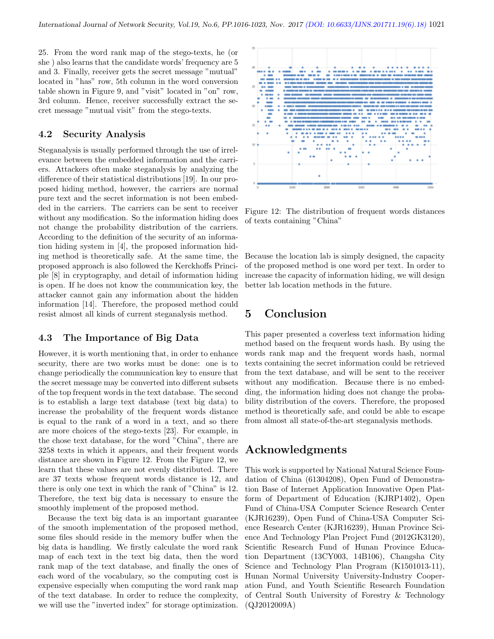25. From the word rank map of the stego-texts, he (or she ) also learns that the candidate words' frequency are 5 and 3. Finally, receiver gets the secret message "mutual" located in "has" row, 5th column in the word conversion table shown in Figure 9, and "visit" located in "on" row, 3rd column. Hence, receiver successfully extract the secret message "mutual visit" from the stego-texts.

### 4.2 Security Analysis

Steganalysis is usually performed through the use of irrelevance between the embedded information and the carriers. Attackers often make steganalysis by analyzing the difference of their statistical distributions [19]. In our proposed hiding method, however, the carriers are normal pure text and the secret information is not been embedded in the carriers. The carriers can be sent to receiver without any modification. So the information hiding does not change the probability distribution of the carriers. According to the definition of the security of an information hiding system in [4], the proposed information hiding method is theoretically safe. At the same time, the proposed approach is also followed the Kerckhoffs Principle [8] in cryptography, and detail of information hiding is open. If he does not know the communication key, the attacker cannot gain any information about the hidden information [14]. Therefore, the proposed method could resist almost all kinds of current steganalysis method.

### 4.3 The Importance of Big Data

However, it is worth mentioning that, in order to enhance security, there are two works must be done: one is to change periodically the communication key to ensure that the secret message may be converted into different subsets of the top frequent words in the text database. The second is to establish a large text database (text big data) to increase the probability of the frequent words distance is equal to the rank of a word in a text, and so there are more choices of the stego-texts [23]. For example, in the chose text database, for the word "China", there are 3258 texts in which it appears, and their frequent words distance are shown in Figure 12. From the Figure 12, we learn that these values are not evenly distributed. There are 37 texts whose frequent words distance is 12, and there is only one text in which the rank of "China" is 12. Therefore, the text big data is necessary to ensure the smoothly implement of the proposed method.

Because the text big data is an important guarantee of the smooth implementation of the proposed method, some files should reside in the memory buffer when the big data is handling. We firstly calculate the word rank map of each text in the text big data, then the word rank map of the text database, and finally the ones of each word of the vocabulary, so the computing cost is expensive especially when computing the word rank map of the text database. In order to reduce the complexity, we will use the "inverted index" for storage optimization.



Figure 12: The distribution of frequent words distances of texts containing "China"

Because the location lab is simply designed, the capacity of the proposed method is one word per text. In order to increase the capacity of information hiding, we will design better lab location methods in the future.

### 5 Conclusion

This paper presented a coverless text information hiding method based on the frequent words hash. By using the words rank map and the frequent words hash, normal texts containing the secret information could be retrieved from the text database, and will be sent to the receiver without any modification. Because there is no embedding, the information hiding does not change the probability distribution of the covers. Therefore, the proposed method is theoretically safe, and could be able to escape from almost all state-of-the-art steganalysis methods.

# Acknowledgments

This work is supported by National Natural Science Foundation of China (61304208), Open Fund of Demonstration Base of Internet Application Innovative Open Platform of Department of Education (KJRP1402), Open Fund of China-USA Computer Science Research Center (KJR16239), Open Fund of China-USA Computer Science Research Center (KJR16239), Hunan Province Science And Technology Plan Project Fund (2012GK3120), Scientific Research Fund of Hunan Province Education Department (13CY003, 14B106), Changsha City Science and Technology Plan Program (K1501013-11), Hunan Normal University University-Industry Cooperation Fund, and Youth Scientific Research Foundation of Central South University of Forestry & Technology (QJ2012009A)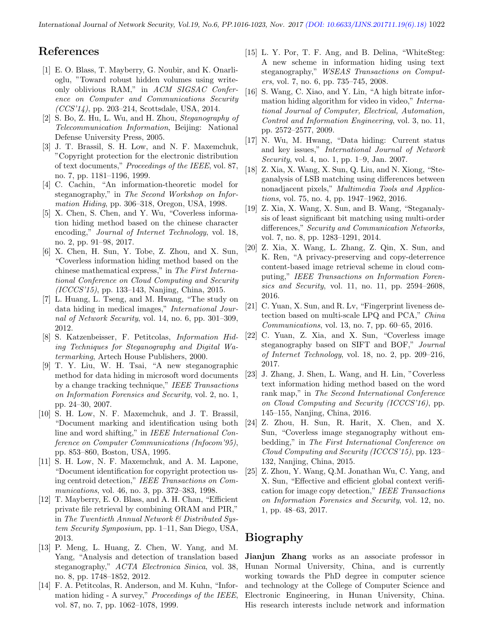## References

- [1] E. O. Blass, T. Mayberry, G. Noubir, and K. Onarlioglu, "Toward robust hidden volumes using writeonly oblivious RAM," in ACM SIGSAC Conference on Computer and Communications Security  $(CCS'14)$ , pp. 203–214, Scottsdale, USA, 2014.
- [2] S. Bo, Z. Hu, L. Wu, and H. Zhou, Steganography of Telecommunication Information, Beijing: National Defense University Press, 2005.
- [3] J. T. Brassil, S. H. Low, and N. F. Maxemchuk, "Copyright protection for the electronic distribution of text documents," Proceedings of the IEEE, vol. 87, no. 7, pp. 1181–1196, 1999.
- [4] C. Cachin, "An information-theoretic model for steganography," in The Second Workshop on Information Hiding, pp. 306–318, Oregon, USA, 1998.
- [5] X. Chen, S. Chen, and Y. Wu, "Coverless information hiding method based on the chinese character encoding," Journal of Internet Technology, vol. 18, no. 2, pp. 91–98, 2017.
- [6] X. Chen, H. Sun, Y. Tobe, Z. Zhou, and X. Sun, "Coverless information hiding method based on the chinese mathematical express," in The First International Conference on Cloud Computing and Security (ICCCS'15), pp. 133–143, Nanjing, China, 2015.
- [7] L. Huang, L. Tseng, and M. Hwang, "The study on data hiding in medical images," International Journal of Network Security, vol. 14, no. 6, pp. 301–309, 2012.
- [8] S. Katzenbeisser, F. Petitcolas, Information Hiding Techniques for Steganography and Digital Watermarking, Artech House Publishers, 2000.
- [9] T. Y. Liu, W. H. Tsai, "A new steganographic method for data hiding in microsoft word documents by a change tracking technique," IEEE Transactions on Information Forensics and Security, vol. 2, no. 1, pp. 24–30, 2007.
- [10] S. H. Low, N. F. Maxemchuk, and J. T. Brassil, "Document marking and identification using both line and word shifting," in IEEE International Conference on Computer Communications (Infocom'95), pp. 853–860, Boston, USA, 1995.
- [11] S. H. Low, N. F. Maxemchuk, and A. M. Lapone, "Document identification for copyright protection using centroid detection," IEEE Transactions on Communications, vol. 46, no. 3, pp. 372–383, 1998.
- [12] T. Mayberry, E. O. Blass, and A. H. Chan, "Efficient private file retrieval by combining ORAM and PIR," in The Twentieth Annual Network  $\mathcal B$  Distributed System Security Symposium, pp. 1–11, San Diego, USA, 2013.
- [13] P. Meng, L. Huang, Z. Chen, W. Yang, and M. Yang, "Analysis and detection of translation based steganography," ACTA Electronica Sinica, vol. 38, no. 8, pp. 1748–1852, 2012.
- [14] F. A. Petitcolas, R. Anderson, and M. Kuhn, "Information hiding - A survey," Proceedings of the IEEE, vol. 87, no. 7, pp. 1062–1078, 1999.
- [15] L. Y. Por, T. F. Ang, and B. Delina, "WhiteSteg: A new scheme in information hiding using text steganography," WSEAS Transactions on Computers, vol. 7, no. 6, pp. 735–745, 2008.
- [16] S. Wang, C. Xiao, and Y. Lin, "A high bitrate information hiding algorithm for video in video," International Journal of Computer, Electrical, Automation, Control and Information Engineering, vol. 3, no. 11, pp. 2572–2577, 2009.
- [17] N. Wu, M. Hwang, "Data hiding: Current status and key issues," International Journal of Network Security, vol. 4, no. 1, pp. 1–9, Jan. 2007.
- [18] Z. Xia, X. Wang, X. Sun, Q. Liu, and N. Xiong, "Steganalysis of LSB matching using differences between nonadjacent pixels," *Multimedia Tools and Applica*tions, vol. 75, no. 4, pp. 1947–1962, 2016.
- [19] Z. Xia, X. Wang, X. Sun, and B. Wang, "Steganalysis of least significant bit matching using multi-order differences," Security and Communication Networks, vol. 7, no. 8, pp. 1283–1291, 2014.
- [20] Z. Xia, X. Wang, L. Zhang, Z. Qin, X. Sun, and K. Ren, "A privacy-preserving and copy-deterrence content-based image retrieval scheme in cloud computing," IEEE Transactions on Information Forensics and Security, vol. 11, no. 11, pp. 2594–2608, 2016.
- [21] C. Yuan, X. Sun, and R. Lv, "Fingerprint liveness detection based on multi-scale LPQ and PCA," China Communications, vol. 13, no. 7, pp. 60–65, 2016.
- [22] C. Yuan, Z. Xia, and X. Sun, "Coverless image steganography based on SIFT and BOF," Journal of Internet Technology, vol. 18, no. 2, pp. 209–216, 2017.
- [23] J. Zhang, J. Shen, L. Wang, and H. Lin, "Coverless text information hiding method based on the word rank map," in The Second International Conference on Cloud Computing and Security (ICCCS'16), pp. 145–155, Nanjing, China, 2016.
- [24] Z. Zhou, H. Sun, R. Harit, X. Chen, and X. Sun, "Coverless image steganography without embedding," in The First International Conference on Cloud Computing and Security (ICCCS'15), pp. 123– 132, Nanjing, China, 2015.
- [25] Z. Zhou, Y. Wang, Q.M. Jonathan Wu, C. Yang, and X. Sun, "Effective and efficient global context verification for image copy detection," IEEE Transactions on Information Forensics and Security, vol. 12, no. 1, pp. 48–63, 2017.

# Biography

Jianjun Zhang works as an associate professor in Hunan Normal University, China, and is currently working towards the PhD degree in computer science and technology at the College of Computer Science and Electronic Engineering, in Hunan University, China. His research interests include network and information